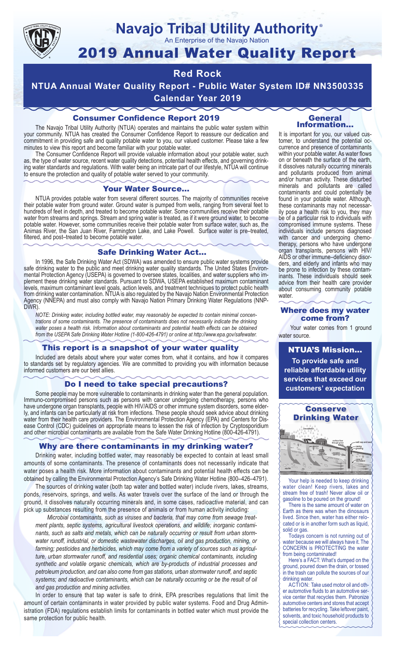

# **Navajo Tribal Utility Authority**

An Enterprise of the Navajo Nation

## 2019 Annual Water Quality Report

## **Red Rock**

**NTUA Annual Water Quality Report - Public Water System ID# NN3500335 Calendar Year 2019**

#### Consumer Confidence Report 2019

The Navajo Tribal Utility Authority (NTUA) operates and maintains the public water system within your community. NTUA has created the Consumer Confidence Report to reassure our dedication and commitment in providing safe and quality potable water to you, our valued customer. Please take a few minutes to view this report and become familiar with your potable water.

The Consumer Confidence Report will provide valuable information about your potable water, such as, the type of water source, recent water quality detections, potential health effects, and governing drinking water standards and regulations. With water being an intricate part of our lifestyle, NTUA will continue to ensure the protection and quality of potable water served to your community.

#### Your Water Source…

NTUA provides potable water from several different sources. The majority of communities receive their potable water from ground water. Ground water is pumped from wells, ranging from several feet to hundreds of feet in depth, and treated to become potable water. Some communities receive their potable water from streams and springs. Stream and spring water is treated, as if it were ground water, to become potable water. However, some communities receive their potable water from surface water, such as, the Animas River, the San Juan River, Farmington Lake, and Lake Powell. Surface water is pre–treated, filtered, and post–treated to become potable water.

#### Safe Drinking Water Act…

In 1996, the Safe Drinking Water Act (SDWA) was amended to ensure public water systems provide safe drinking water to the public and meet drinking water quality standards. The United States Environmental Protection Agency (USEPA) is governed to oversee states, localities, and water suppliers who implement these drinking water standards. Pursuant to SDWA, USEPA established maximum contaminant levels, maximum contaminant level goals, action levels, and treatment techniques to protect public health from drinking water contamination. NTUA is also regulated by the Navajo Nation Environmental Protection Agency (NNEPA) and must also comply with Navajo Nation Primary Drinking Water Regulations (NNP-DWR)

*NOTE: Drinking water, including bottled water, may reasonably be expected to contain minimal concentrations of some contaminants. The presence of contaminants does not necessarily indicate the drinking water poses a health risk. Information about contaminants and potential health effects can be obtained from the USEPA Safe Drinking Water Hotline (1-800-426-4791) or online at http://www.epa.gov/safewater.*

#### This report is a snapshot of your water quality

Included are details about where your water comes from, what it contains, and how it compares to standards set by regulatory agencies. We are committed to providing you with information because informed customers are our best allies.

#### Do I need to take special precautions?

Some people may be more vulnerable to contaminants in drinking water than the general population. Immuno-compromised persons such as persons with cancer undergoing chemotherapy, persons who have undergone organ transplants, people with HIV/AIDS or other immune system disorders, some elderly, and infants can be particularly at risk from infections. These people should seek advice about drinking water from their health care providers. The Environmental Protection Agency (EPA) and Centers for Disease Control (CDC) guidelines on appropriate means to lessen the risk of infection by Cryptosporidium and other microbial contaminants are available from the Safe Water Drinking Hotline (800-426-4791).

#### Why are there contaminants in my drinking water?

Drinking water, including bottled water, may reasonably be expected to contain at least small amounts of some contaminants. The presence of contaminants does not necessarily indicate that water poses a health risk. More information about contaminants and potential health effects can be obtained by calling the Environmental Protection Agency's Safe Drinking Water Hotline (800–426–4791).

The sources of drinking water (both tap water and bottled water) include rivers, lakes, streams, ponds, reservoirs, springs, and wells. As water travels over the surface of the land or through the ground, it dissolves naturally occurring minerals and, in some cases, radioactive material, and can pick up substances resulting from the presence of animals or from human activity including:

*Microbial contaminants, such as viruses and bacteria, that may come from sewage treatment plants, septic systems, agricultural livestock operations, and wildlife; inorganic contaminants, such as salts and metals, which can be naturally occurring or result from urban stormwater runoff, industrial, or domestic wastewater discharges, oil and gas production, mining, or farming; pesticides and herbicides, which may come from a variety of sources such as agriculture, urban stormwater runoff, and residential uses; organic chemical contaminants, including synthetic and volatile organic chemicals, which are by-products of industrial processes and petroleum production, and can also come from gas stations, urban stormwater runoff, and septic systems; and radioactive contaminants, which can be naturally occurring or be the result of oil and gas production and mining activities.*

In order to ensure that tap water is safe to drink, EPA prescribes regulations that limit the amount of certain contaminants in water provided by public water systems. Food and Drug Administration (FDA) regulations establish limits for contaminants in bottled water which must provide the same protection for public health.

#### General Information…

®

It is important for you, our valued customer, to understand the potential occurrence and presence of contaminants within your potable water. As water flows on or beneath the surface of the earth, it dissolves naturally occurring minerals and pollutants produced from animal and/or human activity. These disturbed minerals and pollutants are called contaminants and could potentially be found in your potable water. Although, these contaminants may not necessarily pose a health risk to you, they may be of a particular risk to individuals with compromised immune systems. These individuals include persons diagnosed with cancer and undergoing chemo-<br>therapy, persons who have undergone organ transplants, persons with HIV/ AIDS or other immune–deficiency disor- ders, and elderly and infants who may be prone to infection by these contam- inants. These individuals should seek advice from their health care provider about consuming community potable water.

#### Where does my water come from?

Your water comes from 1 ground water source.

NTUA'S Mission... **To provide safe and reliable affordable utility services that exceed our customers' expectation**



Your help is needed to keep drinking water clean! Keep rivers, lakes and stream free of trash! Never allow oil or gasoline to be poured on the ground!

There is the same amount of water on Earth as there was when the dinosaurs lived. Since then, water has either relocated or is in another form such as liquid, solid or gas.

Todays concern is not running out of water because we will always have it. The CONCERN is PROTECTING the water from being contaminated!

Here's a FACT: What's dumped on the ground, poured down the drain, or tossed in the trash can pollute the sources of our drinking water.

ACTION: Take used motor oil and other automotive fluids to an automotive service center that recycles them. Patronize automotive centers and stores that accept batteries for recycling. Take leftover paint, solvents, and toxic household products to special collection centers.